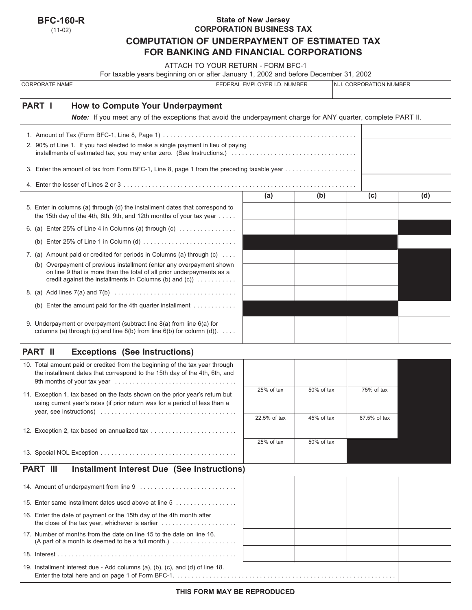| <b>BFC-160-R</b> |  |
|------------------|--|
|------------------|--|

(11-02)

## **State of New Jersey CORPORATION BUSINESS TAX COMPUTATION OF UNDERPAYMENT OF ESTIMATED TAX FOR BANKING AND FINANCIAL CORPORATIONS**

ATTACH TO YOUR RETURN - FORM BFC-1

| For taxable years beginning on or after January 1, 2002 and before December 31, 2002                                                                                                                                         |     |                              |     |                         |  |  |
|------------------------------------------------------------------------------------------------------------------------------------------------------------------------------------------------------------------------------|-----|------------------------------|-----|-------------------------|--|--|
| <b>CORPORATE NAME</b>                                                                                                                                                                                                        |     | FEDERAL EMPLOYER I.D. NUMBER |     | N.J. CORPORATION NUMBER |  |  |
| <b>PART I</b><br>How to Compute Your Underpayment                                                                                                                                                                            |     |                              |     |                         |  |  |
| Note: If you meet any of the exceptions that avoid the underpayment charge for ANY quarter, complete PART II.                                                                                                                |     |                              |     |                         |  |  |
|                                                                                                                                                                                                                              |     |                              |     |                         |  |  |
| 2. 90% of Line 1. If you had elected to make a single payment in lieu of paying                                                                                                                                              |     |                              |     |                         |  |  |
| 3. Enter the amount of tax from Form BFC-1, Line 8, page 1 from the preceding taxable year                                                                                                                                   |     |                              |     |                         |  |  |
|                                                                                                                                                                                                                              |     |                              |     |                         |  |  |
|                                                                                                                                                                                                                              | (a) | (b)                          | (c) | (d)                     |  |  |
| 5. Enter in columns (a) through (d) the installment dates that correspond to<br>the 15th day of the 4th, 6th, 9th, and 12th months of your tax year $\dots$ .                                                                |     |                              |     |                         |  |  |
| 6. (a) Enter 25% of Line 4 in Columns (a) through (c) $\dots$                                                                                                                                                                |     |                              |     |                         |  |  |
|                                                                                                                                                                                                                              |     |                              |     |                         |  |  |
| 7. (a) Amount paid or credited for periods in Columns (a) through (c)                                                                                                                                                        |     |                              |     |                         |  |  |
| (b) Overpayment of previous installment (enter any overpayment shown<br>on line 9 that is more than the total of all prior underpayments as a<br>credit against the installments in Columns (b) and (c)) $\dots \dots \dots$ |     |                              |     |                         |  |  |
|                                                                                                                                                                                                                              |     |                              |     |                         |  |  |
| (b) Enter the amount paid for the 4th quarter installment $\dots\dots\dots\dots$                                                                                                                                             |     |                              |     |                         |  |  |
| 9. Underpayment or overpayment (subtract line 8(a) from line 6(a) for<br>columns (a) through (c) and line $8(b)$ from line $6(b)$ for column (d)).                                                                           |     |                              |     |                         |  |  |

# **PART II Exceptions (See Instructions)**

| 10. Total amount paid or credited from the beginning of the tax year through |              |               |                 |
|------------------------------------------------------------------------------|--------------|---------------|-----------------|
| the installment dates that correspond to the 15th day of the 4th, 6th, and   |              |               |                 |
|                                                                              |              |               |                 |
| 11. Exception 1, tax based on the facts shown on the prior year's return but | $25%$ of tax | $50\%$ of tax | 75% of tax      |
| using current year's rates (if prior return was for a period of less than a  |              |               |                 |
|                                                                              | 22.5% of tax | $45%$ of tax  | $67.5\%$ of tax |
| 12. Exception 2, tax based on annualized tax                                 |              |               |                 |
|                                                                              | 25% of tax   | $50\%$ of tax |                 |
|                                                                              |              |               |                 |

## **PART III** Installment Interest Due (See Instructions)

| 15. Enter same installment dates used above at line 5                                                                                                               |  |  |
|---------------------------------------------------------------------------------------------------------------------------------------------------------------------|--|--|
| 16. Enter the date of payment or the 15th day of the 4th month after<br>the close of the tax year, whichever is earlier $\ldots \ldots \ldots \ldots \ldots \ldots$ |  |  |
| 17. Number of months from the date on line 15 to the date on line 16.<br>(A part of a month is deemed to be a full month.) $\ldots$                                 |  |  |
|                                                                                                                                                                     |  |  |
| 19. Installment interest due - Add columns (a), (b), (c), and (d) of line 18.                                                                                       |  |  |